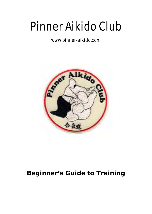# Pinner Aikido Club

### www.pinner-aikido.com



## *Beginner's Guide to Training*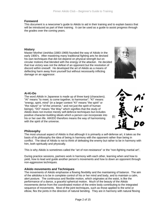#### **Foreword**

This document is a newcomer's guide to Aikido to aid in their training and to explain basics that will be introduced as part of their training. It can be used as a guide to assist progress through the grades over the coming years.

#### **History**

Master Morihei Ueshiba (1883-1969) founded the way of Aikido in the early 1900's. After mastering many traditional fighting arts he devised his own techniques that did not depend on physical strength but on circular motions that blended with the energy of the attacker. He d ecided that true victory was not the defeat of an opponent but the resolution of discord within oneself. He developed the art of Aikido as a means of deflecting harm away from yourself but without necessarily inflicting damage on an aggressor.



#### **Ai-Ki-Do**

positive character-building ideals which a person can incorporate into his or her own life. AIKIDO therefore means the way of harmonising The word *Aikido* in Japanese is made up of three kanji (characters). "AI" means "to meet, to come together, to harmonise"; "KI" means "energy, spirit, mind" (in a larger context "KI" means "the spirit" or "the nature" or "of the universe," and not just the spirit of human beings). "DO" means "the Way" which signifies that the study of Aikido does not involve merely self-defence techniques but includes with the spirit of the universe.



#### **Philosophy**

The most unusual aspect of Aikido is that although it is primarily a self-defense art, it takes as the basis of its philosophy the idea of being in harmony with the opponent rather than being in conflict. The ideal of Aikido is not to think of defeating the enemy but rather to be in harmony with him, both spiritually and physically.

This is why Aikido is sometimes called the "art of non-resistance" or the "non-fighting martial art".

During practice sessions, partners work in harmony with each other, learning when and how to yield, how to lead and guide another person's movements and how to down an opponent through non-aggressive techniques.

#### **Aikido movements and Techniques**

The movements of Aikido emphasise a flowing flexibility and the maintaining of balance. The aim of the aikidoka is to be in complete control of his or her mind and body, and to maintain a calm, alert posture. The continuous and flexible motion, which originates at the waist, is like the performance of a dance, a graceful spherical motion. Much of the beauty of the Aikido movements derive from the coordinated motion of the entire body contributing to the integrated sequence of movements. Most of the joint techniques, such as those applied to the wrist or elbow, flex the joints in the direction of natural bending. They are in harmony with natural flexing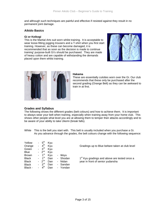and although such techniques are painful and effective if resisted against they result in no permanent joint damage.

#### **Aikido Basics**

#### **Gi or Keikogi**

This is the Martial Arts suit worn whilst training. It is acceptable to wear loose-fitting jogging trousers and a T-shirt when you first start training. However, as these can become damaged, it is recommended that as soon as the decision is made to continue training' purpose-built Gi's should be purchased. They are made of heavy cotton and are capable of withstanding the demands placed upon them whilst training.





#### **Hakama**

These are essentially culottes worn over the Gi. Our club recommends that these only be purchased after the second grading (Orange Belt) as they can be awkward to train in at first.

#### **Grades and Syllabus**

The following shows the different grades (belt colours) and how to achieve them. It is important to always wear your belt when training, especially when training away from your home club. This shows other people what level you are at allowing them to temper their attacks accordingly and to be aware of your ability to take Ukemi (break falls).

White This is the belt you start with. This belt is usually included when you purchase a Gi. As you advance through the grades, the belt colours change with the following sequence:

| Yellow<br>Orange<br>Green          | ۰.<br>٠<br>٠ | $5^{\text{th}}$<br>4 <sup>th</sup><br>3 <sup>rd</sup>                        | Kyu<br>Kyu<br>Kvu        |                                                                     | Gradings up to Blue beltare taken at club level                                              |
|------------------------------------|--------------|------------------------------------------------------------------------------|--------------------------|---------------------------------------------------------------------|----------------------------------------------------------------------------------------------|
| Blue<br>Brown                      |              | $-2^{nd}$<br>$-1$ <sup>st</sup>                                              | Kyu<br>Kyu               | - Ikkyu                                                             |                                                                                              |
| Black<br>Black<br>Black<br>Black - | ÷.           | $1^{\rm st}$<br>$-2^{nd}$<br>$-3^{rd}$<br>$\boldsymbol{\Lambda}^\textsf{th}$ | Dan<br>Dan<br>Dan<br>Dan | - Shodan<br>Nidan<br>$\blacksquare$<br>- Sandan<br>Yondan<br>$\sim$ | 1 <sup>st</sup> Kyu gradings and above are tested once a<br>year in front of senior yudansha |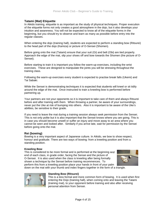#### **Tatami (Mat) Etiquette**

In Aikido training, etiquette is as important as the study of physical techniques. Proper execution of the etiquette forms not only creates a good atmosphere in the dojo, but it also develops your intuition and awareness. You will not be expected to know all of the etiquette forms in the beginning, but you should try to observe and learn as many as possible before entry into the regular classes.

When entering the dojo (training hall), students are expected to perform a standing bow (Ritsurei) to the head part of the dojo (Kamiza) or picture of O-Sensei (Shomen).

Before going onto the mat (Tatami) ensure that your suit (Gi) and belt (Obi) are tied properly. Approach the edge of the mat, slip your shoes off and bow towards the Shomen (the picture of O-Sensei).

Before starting to train it is important you follow the warm-up exercises, including the wrist exercises. These are designed to manipulate the joints you will be stressing throughout the training class.

Following the warm-up exercises every student is expected to practise break falls (Ukemi) and Tai Sabaki.

While the Sensei is demonstrating techniques it is expected that students will kneel or sit tidily around the edge of the mat. Once instructed to train a kneeling bow is performed before partnering up.

Your partners are not your opponents so it is important to take care of them and always Ritsurei before and after training with them. When throwing a partner, be aware of your surroundings, never put the Uke at risk of bumping into others. Also it is important to be aware of the Uke's abilities, be sensitive to their grade.

If you need to leave the mat during a training session always seek permission from the Sensei. This is not only polite but it is also important that the Sensei knows where you are going. This is in case you should become unwell or suffer an injury and move away to an area where you cannot be seen and looked after. Similarly if you arrive late, wait for permission by the Sensei before going onto the mat.

#### **Rei (bowing)**

Bowing is a very important aspect of Japanese culture. In Aikido, we bow to show respect, honour and gratitude. There are two ways of bowing: from a kneeling position and from a standing position.

#### **Kneeling Bow**

This is considered to be more formal and is performed at the beginning and end of each class, in grade order, facing the Sensei and the picture of O-Sensei. It is also used when the class is kneeling after being formally shown a technique by the Sensei before training recommences. To perform this from a kneeling position place your hands in front of your palm



down on the mat with your thumb and index fingers together in the form of a triangle.



#### **Standing Bow (Ritsurei)**

This is a less formal and more common form of bowing. It is used when first entering the Dojo (training hall), when coming onto and leaving the Tatami (training mat), to your opponent before training and also after receiving personal attention from Sensei.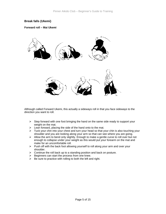#### **Break falls (Ukemi)**

#### **Forward roll – Mai Ukemi**



Although called Forward Ukemi, this actually a sideways roll in that you face sideways to the direction you want to roll.

- $\triangleright$  Step forward with one foot bringing the hand on the same side ready to support your weight on the mat.
- $\triangleright$  Lean forward, placing the side of the hand onto to the mat.
- ¾ Tuck your chin into your chest and turn your head so that your chin is also touching your shoulder and you are looking along your arm so that can see where you are going.
- ¾ Allow the arm to bend only slightly. Enough to make a gentle curve to roll over but not enough to collapse under your weight as this would put your forearm on the mat and make for an uncomfortable roll.
- ¾ Push off with the back foot allowing yourself to roll along your arm and over your shoulder.
- $\triangleright$  Continue the roll back up to a standing position and back on posture.
- $\triangleright$  Beginners can start the process from one knee.
- $\triangleright$  Be sure to practice with rolling to both the left and right.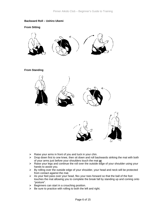#### **Backward Roll – Ushiro Ukemi**

**From Sitting** 



#### **From Standing**



- $\triangleright$  Raise your arms in front of you and tuck in your chin.
- ¾ Drop down first to one knee, then sit down and roll backwards striking the mat with both of your arms just before your shoulders touch the mat **or**
- $\triangleright$  Raise your legs and continue the roll over the outside edge of your shoulder using your hands to assist you.
- $\triangleright$  By rolling over the outside edge of your shoulder, your head and neck will be protected from contact against the mat.
- $\triangleright$  As your feet pass over your head, flex your toes forward so that the ball of the foot touches the mat allowing you to complete the break fall by standing up and coming onto "posture".
- $\triangleright$  Beginners can start in a crouching position.
- $\triangleright$  Be sure to practice with rolling to both the left and right.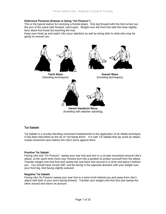#### **Defensive Postures (Kamae or being "On Posture")**

This is the typical stance for receiving a frontal attack. One leg forward with the foot turned out, the arm of the same side forward, hand open. Weight over the front foot with the knee slightly bent. Back foot loose but touching the mat.

Keep your head up and watch Uke (your attacker) as well as being alert to what else may be going on around you.



#### **Tai Sabaki**

Tai Sabaki is a circular blending movement fundamental to the application of an Aikido technique. It has been described as the art of "not being there". It is with Tai Sabaki that we avoid an attack, create movement and redirect the Uke's force against them.

#### **Positive Tai Sabaki**

Facing Uke and "On Posture", sweep your rear foot and arm in a circular movement around Uke's attack, at the same time move your forward arm into a position to protect yourself from the attack. Transfer weight onto that foot and sweep the now back foot around in a circle and place it behind you. You should have turned 180° and be facing in the opposite direction with your weight over your front leg, foot facing slightly outward.

#### **Negative Tai Sabaki**

Facing Uke On Posture sweep your rear foot in a semi-circle behind you and away from Uke's attack with both of your arms facing forward. Transfer your weight onto this foot and sweep the other around and return on posture.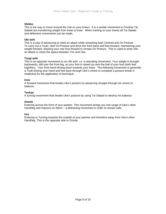#### **Shikko**

This is the way to move around the mat on your knees. It is a similar movement to Positive Tai Sabaki but transferring weight from knee to knee. When training on your knees all Tai Sabaki and defensive movements can be made.

#### **Ubi ashi**

This is a way of advancing to meet an attack while remaining both Centred and On Posture To carry out a Tsuki, start On Posture and drive the front hand and foot forward, maintaining your weight forward, drawing your rear foot forward to remain On Posture. This is used to enter into an attack or close the space between Tori and Uke.

#### **Tsugi ashi**

This is an opposite movement to an Ubi ashi i.e. a retreating movement. Your weight is brought backwards, still over the front leg, as your foot is raised up onto the ball of your foot (both feet together). Your front hand driving down towards your knee. The following movement is generally a Tsuki driving your hand and foot back through Uke's centre to complete a posture break in readiness for the application of technique.

#### **Irimi**

A forward movement that breaks Uke's posture by advancing straight through his centre of balance.

#### **Tenkan**

A turning movement that breaks Uke's posture by using Tai Sabaki to destroy his balance.

#### **Omote**

Entering across the front of your partner. This movement brings you into range of Uke's other Hand/leg and requires an Atemi – a distracting movement in order to remain safe.

#### **Ura**

Entering or Turning towards the outside of your partner and therefore away from Uke's other Hand/leg. This is the opposite side to Omote.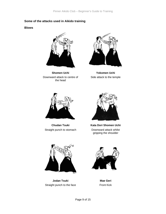#### **Some of the attacks used in Aikido training**

**Blows** 



**Shomen Uchi**  Downward attack to centre of the head



**Yokomen Uchi**  Side attack to the temple



**Chudan Tsuki**  Straight punch to stomach



**Kata Dori Shomen Uchi** 

Downward attack whilst gripping the shoulder



**Jodan Tsuki**  Straight punch to the face



**Mae Geri**  Front Kick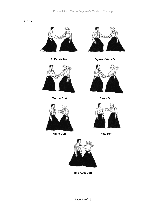#### **Grips**





**Morote Dori**  Ryote Dori



**Mune Dori**  Kata Dori



**Ai Katate Dori Gyaku Katate Dori** 







**Ryo Kata Dori**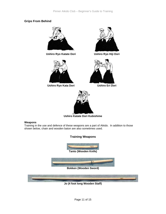#### **Grips From Behind**



**Ushiro Ryo Katate Dori Ushiro Ryo Hiji Dori** 



**Ushiro Ryo Kata Dori Ushiro Eri Dori** 







**Ushiro Katate Dori Kubishime** 

#### **Weapons**

Training in the use and defence of these weapons are a part of Aikido. In addition to those shown below, chain and wooden baton are also sometimes used.

**Training Weapons** 





**Jo (4 foot long Wooden Staff)**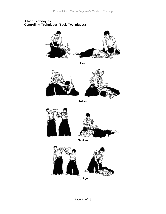#### **Aikido Techniques Controlling Techniques (Basic Techniques)**



**Ikkyo** 



**Nikyo** 



**Sankyo** 



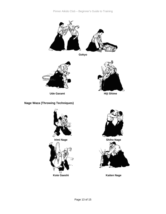

**Gokyo** 



#### **Nage Waza (Throwing Techniques)**







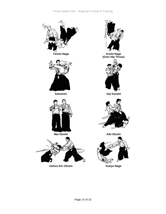